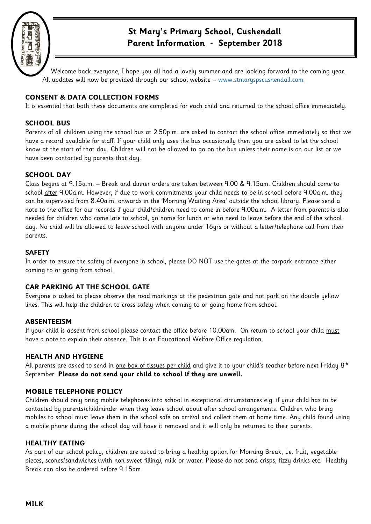

# **St Mary's Primary School, Cushendall Parent Information - September 2018**

Welcome back everyone, I hope you all had a lovely summer and are looking forward to the coming year. All updates will now be provided through our school website - www.stmaryspscushendall.com

# **CONSENT & DATA COLLECTION FORMS**

It is essential that both these documents are completed for each child and returned to the school office immediately.

## **SCHOOL BUS**

Parents of all children using the school bus at 2.50p.m. are asked to contact the school office immediately so that we have a record available for staff. If your child only uses the bus occasionally then you are asked to let the school know at the start of that day. Children will not be allowed to go on the bus unless their name is on our list or we have been contacted by parents that day.

# **SCHOOL DAY**

Class begins at 9.15a.m. – Break and dinner orders are taken between 9.00 & 9.15am. Children should come to school after 9.00a.m. However, if due to work commitments your child needs to be in school before 9.00a.m. they can be supervised from 8.40a.m. onwards in the 'Morning Waiting Area' outside the school library. Please send a note to the office for our records if your child/children need to come in before 9.00a.m. A letter from parents is also needed for children who come late to school, go home for lunch or who need to leave before the end of the school day. No child will be allowed to leave school with anyone under 16yrs or without a letter/telephone call from their parents.

## **SAFETY**

In order to ensure the safety of everyone in school, please DO NOT use the gates at the carpark entrance either coming to or going from school.

# **CAR PARKING AT THE SCHOOL GATE**

Everyone is asked to please observe the road markings at the pedestrian gate and not park on the double yellow lines. This will help the children to cross safely when coming to or going home from school.

## **ABSENTEEISM**

If your child is absent from school please contact the office before 10.00am. On return to school your child must have a note to explain their absence. This is an Educational Welfare Office regulation.

## **HEALTH AND HYGIENE**

All parents are asked to send in <u>one box of tissues per child</u> and give it to your child's teacher before next Friday 8<sup>th</sup> September. **Please do not send your child to school if they are unwell.**

## **MOBILE TELEPHONE POLICY**

Children should only bring mobile telephones into school in exceptional circumstances e.g. if your child has to be contacted by parents/childminder when they leave school about after school arrangements. Children who bring mobiles to school must leave them in the school safe on arrival and collect them at home time. Any child found using a mobile phone during the school day will have it removed and it will only be returned to their parents.

## **HEALTHY EATING**

As part of our school policy, children are asked to bring a healthy option for Morning Break, i.e. fruit, vegetable pieces, scones/sandwiches (with non-sweet filling), milk or water. Please do not send crisps, fizzy drinks etc. Healthy Break can also be ordered before 9.15am.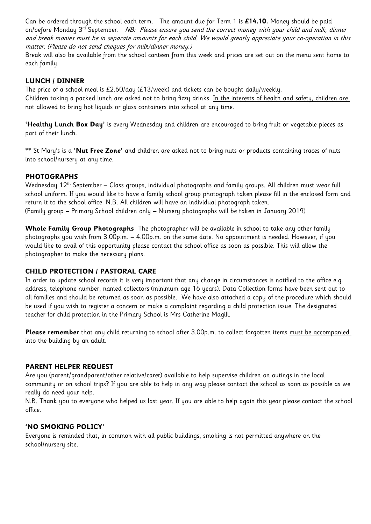Can be ordered through the school each term. The amount due for Term 1 is **£14.10.** Money should be paid on/before Monday  $3<sup>rd</sup>$  September. NB: Please ensure you send the correct money with your child and milk, dinner and break monies must be in separate amounts for each child. We would greatly appreciate your co-operation in this matter. (Please do not send cheques for milk/dinner money.)

Break will also be available from the school canteen from this week and prices are set out on the menu sent home to each family.

## **LUNCH / DINNER**

The price of a school meal is £2.60/day (£13/week) and tickets can be bought daily/weekly. Children taking a packed lunch are asked not to bring fizzy drinks. In the interests of health and safety, children are not allowed to bring hot liquids or glass containers into school at any time.

**'Healthy Lunch Box Day'** is every Wednesday and children are encouraged to bring fruit or vegetable pieces as part of their lunch.

\*\* St Mary's is a **'Nut Free Zone'** and children are asked not to bring nuts or products containing traces of nuts into school/nursery at any time.

# **PHOTOGRAPHS**

Wednesday 12th September – Class groups, individual photographs and family groups. All children must wear full school uniform. If you would like to have a family school group photograph taken please fill in the enclosed form and return it to the school office. N.B. All children will have an individual photograph taken. (Family group – Primary School children only – Nursery photographs will be taken in January 2019)

**Whole Family Group Photographs** The photographer will be available in school to take any other family photographs you wish from 3.00p.m. – 4.00p.m. on the same date. No appointment is needed. However, if you would like to avail of this opportunity please contact the school office as soon as possible. This will allow the photographer to make the necessary plans.

## **CHILD PROTECTION / PASTORAL CARE**

In order to update school records it is very important that any change in circumstances is notified to the office e.g. address, telephone number, named collectors (minimum age 16 years). Data Collection forms have been sent out to all families and should be returned as soon as possible. We have also attached a copy of the procedure which should be used if you wish to register a concern or make a complaint regarding a child protection issue. The designated teacher for child protection in the Primary School is Mrs Catherine Magill.

Please remember that any child returning to school after 3.00p.m. to collect forgotten items must be accompanied into the building by an adult.

## **PARENT HELPER REQUEST**

Are you (parent/grandparent/other relative/carer) available to help supervise children on outings in the local community or on school trips? If you are able to help in any way please contact the school as soon as possible as we really do need your help.

N.B. Thank you to everyone who helped us last year. If you are able to help again this year please contact the school office.

## **'NO SMOKING POLICY'**

Everyone is reminded that, in common with all public buildings, smoking is not permitted anywhere on the school/nursery site.